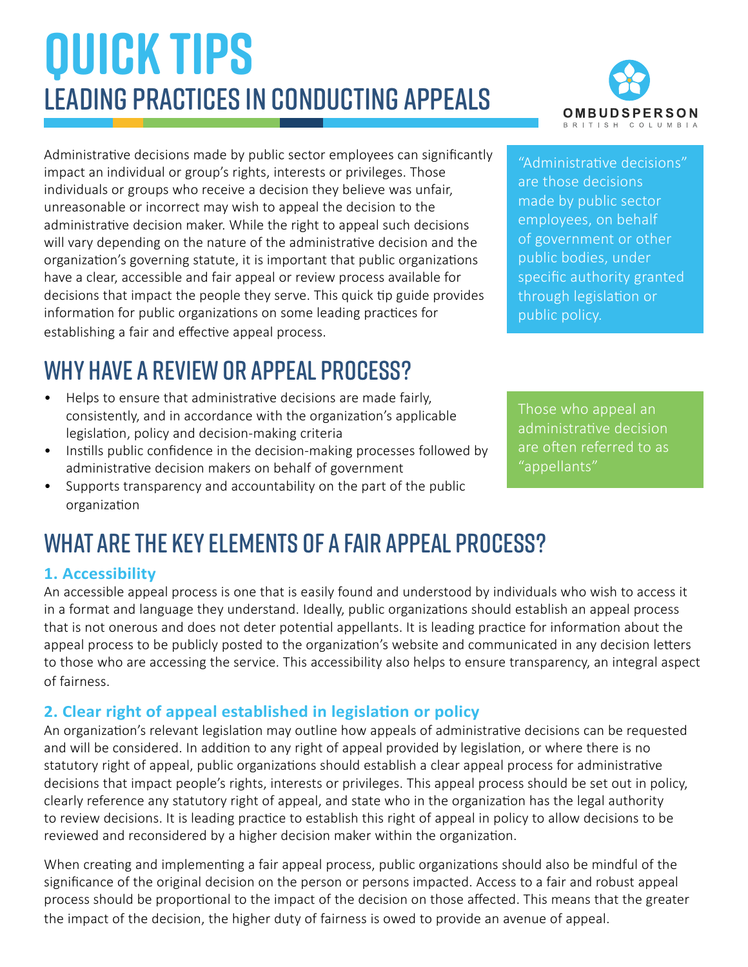# **QUICK TIPS** Leading practices in conducting appeals

Administrative decisions made by public sector employees can significantly impact an individual or group's rights, interests or privileges. Those individuals or groups who receive a decision they believe was unfair, unreasonable or incorrect may wish to appeal the decision to the administrative decision maker. While the right to appeal such decisions will vary depending on the nature of the administrative decision and the organization's governing statute, it is important that public organizations have a clear, accessible and fair appeal or review process available for decisions that impact the people they serve. This quick tip guide provides information for public organizations on some leading practices for establishing a fair and effective appeal process.

### Why have a review or appeal process?

- Helps to ensure that administrative decisions are made fairly, consistently, and in accordance with the organization's applicable legislation, policy and decision-making criteria
- Instills public confidence in the decision-making processes followed by administrative decision makers on behalf of government
- Supports transparency and accountability on the part of the public organization

### What are the key elements of a fair appeal process?

#### **1. Accessibility**

An accessible appeal process is one that is easily found and understood by individuals who wish to access it in a format and language they understand. Ideally, public organizations should establish an appeal process that is not onerous and does not deter potential appellants. It is leading practice for information about the appeal process to be publicly posted to the organization's website and communicated in any decision letters to those who are accessing the service. This accessibility also helps to ensure transparency, an integral aspect of fairness.

#### **2. Clear right of appeal established in legislation or policy**

An organization's relevant legislation may outline how appeals of administrative decisions can be requested and will be considered. In addition to any right of appeal provided by legislation, or where there is no statutory right of appeal, public organizations should establish a clear appeal process for administrative decisions that impact people's rights, interests or privileges. This appeal process should be set out in policy, clearly reference any statutory right of appeal, and state who in the organization has the legal authority to review decisions. It is leading practice to establish this right of appeal in policy to allow decisions to be reviewed and reconsidered by a higher decision maker within the organization.

When creating and implementing a fair appeal process, public organizations should also be mindful of the significance of the original decision on the person or persons impacted. Access to a fair and robust appeal process should be proportional to the impact of the decision on those affected. This means that the greater the impact of the decision, the higher duty of fairness is owed to provide an avenue of appeal.

**OMBUDSPERSON RRITISH**  $C$   $O$   $I$   $I$   $M$   $R$   $I$   $I$ 

"Administrative decisions" are those decisions made by public sector employees, on behalf of government or other public bodies, under specific authority granted through legislation or public policy.

Those who appeal an administrative decision are often referred to as "appellants"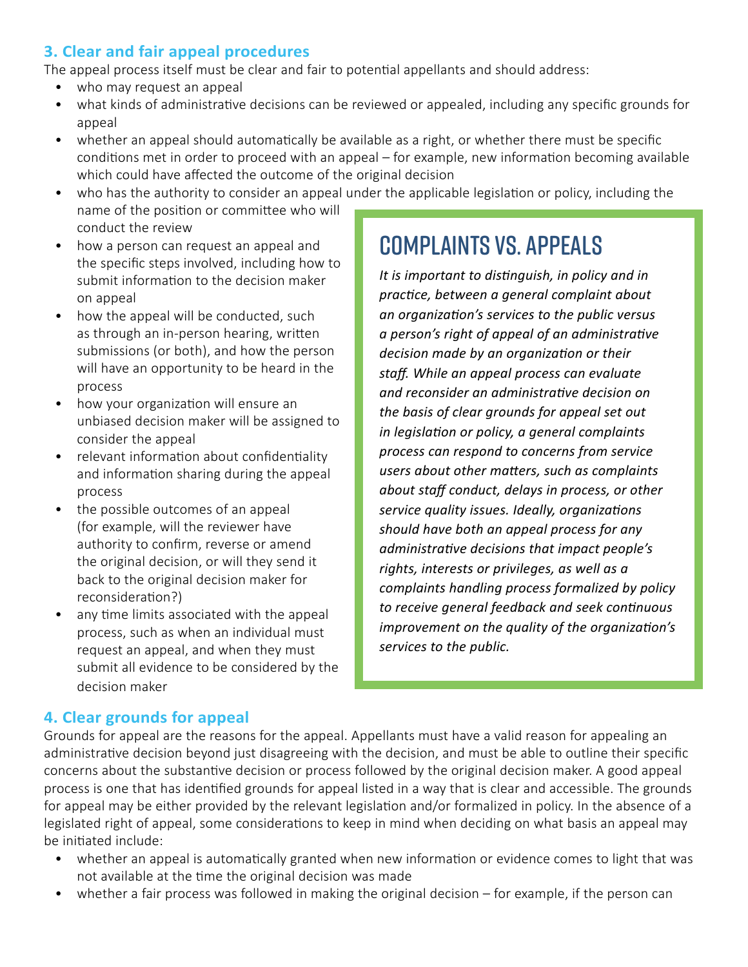#### **3. Clear and fair appeal procedures**

The appeal process itself must be clear and fair to potential appellants and should address:

- who may request an appeal
- what kinds of administrative decisions can be reviewed or appealed, including any specific grounds for appeal
- whether an appeal should automatically be available as a right, or whether there must be specific conditions met in order to proceed with an appeal – for example, new information becoming available which could have affected the outcome of the original decision
- who has the authority to consider an appeal under the applicable legislation or policy, including the

name of the position or committee who will conduct the review

- how a person can request an appeal and the specific steps involved, including how to submit information to the decision maker on appeal
- how the appeal will be conducted, such as through an in-person hearing, written submissions (or both), and how the person will have an opportunity to be heard in the process
- how your organization will ensure an unbiased decision maker will be assigned to consider the appeal
- relevant information about confidentiality and information sharing during the appeal process
- the possible outcomes of an appeal (for example, will the reviewer have authority to confirm, reverse or amend the original decision, or will they send it back to the original decision maker for reconsideration?)
- any time limits associated with the appeal process, such as when an individual must request an appeal, and when they must submit all evidence to be considered by the decision maker

### Complaints vs. Appeals

*It is important to distinguish, in policy and in practice, between a general complaint about an organization's services to the public versus a person's right of appeal of an administrative decision made by an organization or their staff. While an appeal process can evaluate and reconsider an administrative decision on the basis of clear grounds for appeal set out in legislation or policy, a general complaints process can respond to concerns from service users about other matters, such as complaints about staff conduct, delays in process, or other service quality issues. Ideally, organizations should have both an appeal process for any administrative decisions that impact people's rights, interests or privileges, as well as a complaints handling process formalized by policy to receive general feedback and seek continuous improvement on the quality of the organization's services to the public.*

#### **4. Clear grounds for appeal**

Grounds for appeal are the reasons for the appeal. Appellants must have a valid reason for appealing an administrative decision beyond just disagreeing with the decision, and must be able to outline their specific concerns about the substantive decision or process followed by the original decision maker. A good appeal process is one that has identified grounds for appeal listed in a way that is clear and accessible. The grounds for appeal may be either provided by the relevant legislation and/or formalized in policy. In the absence of a legislated right of appeal, some considerations to keep in mind when deciding on what basis an appeal may be initiated include:

- whether an appeal is automatically granted when new information or evidence comes to light that was not available at the time the original decision was made
- whether a fair process was followed in making the original decision for example, if the person can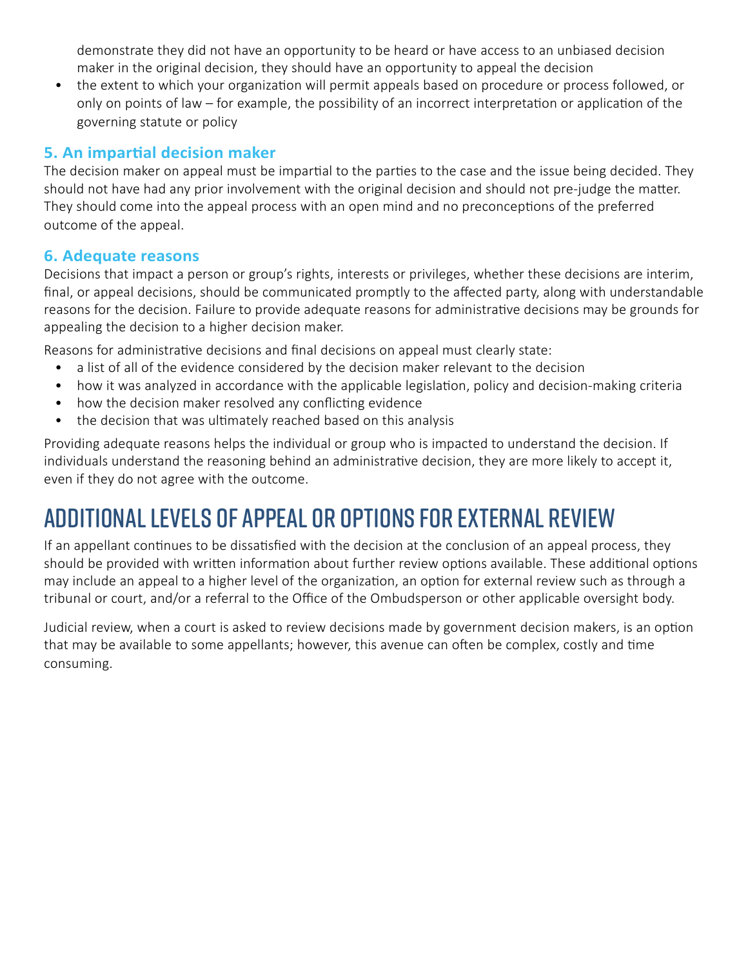demonstrate they did not have an opportunity to be heard or have access to an unbiased decision maker in the original decision, they should have an opportunity to appeal the decision

• the extent to which your organization will permit appeals based on procedure or process followed, or only on points of law – for example, the possibility of an incorrect interpretation or application of the governing statute or policy

#### **5. An impartial decision maker**

The decision maker on appeal must be impartial to the parties to the case and the issue being decided. They should not have had any prior involvement with the original decision and should not pre-judge the matter. They should come into the appeal process with an open mind and no preconceptions of the preferred outcome of the appeal.

#### **6. Adequate reasons**

Decisions that impact a person or group's rights, interests or privileges, whether these decisions are interim, final, or appeal decisions, should be communicated promptly to the affected party, along with understandable reasons for the decision. Failure to provide adequate reasons for administrative decisions may be grounds for appealing the decision to a higher decision maker.

Reasons for administrative decisions and final decisions on appeal must clearly state:

- a list of all of the evidence considered by the decision maker relevant to the decision
- how it was analyzed in accordance with the applicable legislation, policy and decision-making criteria
- how the decision maker resolved any conflicting evidence
- the decision that was ultimately reached based on this analysis

Providing adequate reasons helps the individual or group who is impacted to understand the decision. If individuals understand the reasoning behind an administrative decision, they are more likely to accept it, even if they do not agree with the outcome.

### Additional levels of appeal or options for external review

If an appellant continues to be dissatisfied with the decision at the conclusion of an appeal process, they should be provided with written information about further review options available. These additional options may include an appeal to a higher level of the organization, an option for external review such as through a tribunal or court, and/or a referral to the Office of the Ombudsperson or other applicable oversight body.

Judicial review, when a court is asked to review decisions made by government decision makers, is an option that may be available to some appellants; however, this avenue can often be complex, costly and time consuming.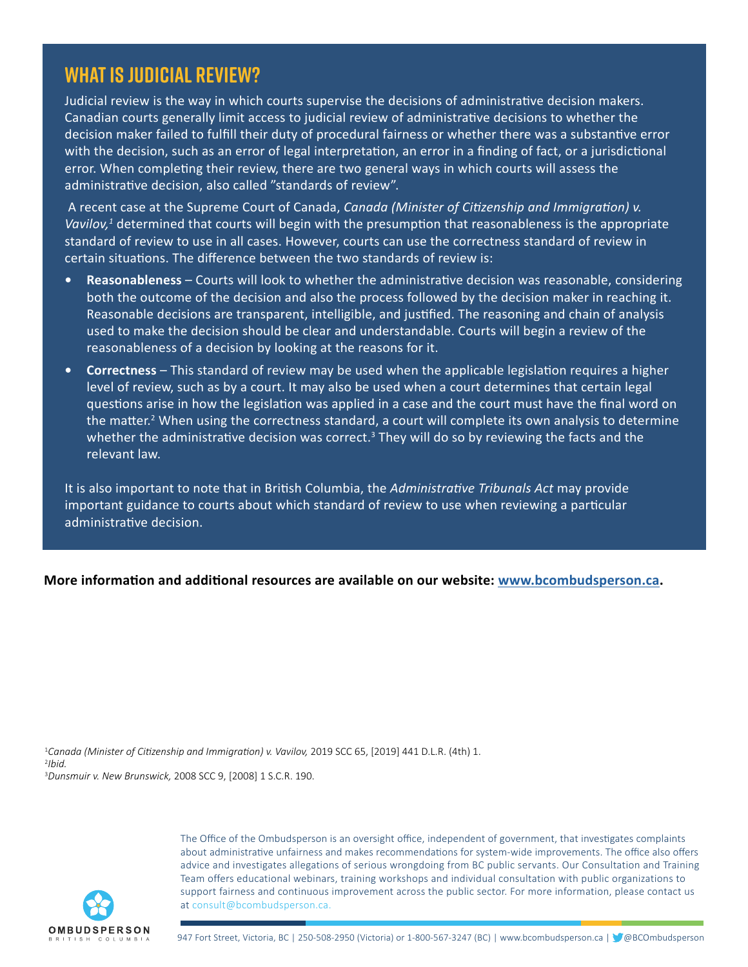### **What is judicial review?**

Judicial review is the way in which courts supervise the decisions of administrative decision makers. Canadian courts generally limit access to judicial review of administrative decisions to whether the decision maker failed to fulfill their duty of procedural fairness or whether there was a substantive error with the decision, such as an error of legal interpretation, an error in a finding of fact, or a jurisdictional error. When completing their review, there are two general ways in which courts will assess the administrative decision, also called "standards of review".

 A recent case at the Supreme Court of Canada, *Canada (Minister of Citizenship and Immigration) v.*  Vavilov,<sup>1</sup> determined that courts will begin with the presumption that reasonableness is the appropriate standard of review to use in all cases. However, courts can use the correctness standard of review in certain situations. The difference between the two standards of review is:

- **• Reasonableness** Courts will look to whether the administrative decision was reasonable, considering both the outcome of the decision and also the process followed by the decision maker in reaching it. Reasonable decisions are transparent, intelligible, and justified. The reasoning and chain of analysis used to make the decision should be clear and understandable. Courts will begin a review of the reasonableness of a decision by looking at the reasons for it.
- **• Correctness** This standard of review may be used when the applicable legislation requires a higher level of review, such as by a court. It may also be used when a court determines that certain legal questions arise in how the legislation was applied in a case and the court must have the final word on the matter.<sup>2</sup> When using the correctness standard, a court will complete its own analysis to determine whether the administrative decision was correct.<sup>3</sup> They will do so by reviewing the facts and the relevant law.

It is also important to note that in British Columbia, the *Administrative Tribunals Act* may provide important guidance to courts about which standard of review to use when reviewing a particular administrative decision.

#### **More information and additional resources are available on our website: [www.bcombudsperson.ca](http://www.bcombudsperson.ca).**

1 *Canada (Minister of Citizenship and Immigration) v. Vavilov,* 2019 SCC 65, [2019] 441 D.L.R. (4th) 1. 2 *Ibid.* 3 *Dunsmuir v. New Brunswick,* 2008 SCC 9, [2008] 1 S.C.R. 190.



The Office of the Ombudsperson is an oversight office, independent of government, that investigates complaints about administrative unfairness and makes recommendations for system-wide improvements. The office also offers advice and investigates allegations of serious wrongdoing from BC public servants. Our Consultation and Training Team offers educational webinars, training workshops and individual consultation with public organizations to support fairness and continuous improvement across the public sector. For more information, please contact us at consult@bcombudsperson.ca.